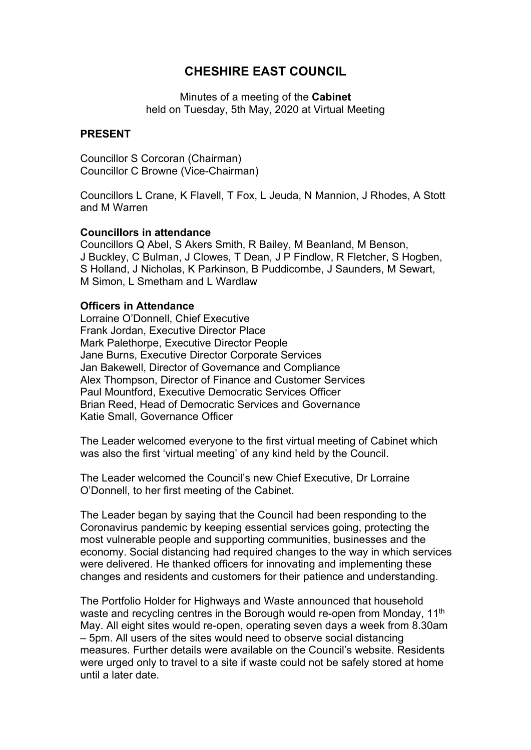# **CHESHIRE EAST COUNCIL**

Minutes of a meeting of the **Cabinet** held on Tuesday, 5th May, 2020 at Virtual Meeting

#### **PRESENT**

Councillor S Corcoran (Chairman) Councillor C Browne (Vice-Chairman)

Councillors L Crane, K Flavell, T Fox, L Jeuda, N Mannion, J Rhodes, A Stott and M Warren

#### **Councillors in attendance**

Councillors Q Abel, S Akers Smith, R Bailey, M Beanland, M Benson, J Buckley, C Bulman, J Clowes, T Dean, J P Findlow, R Fletcher, S Hogben, S Holland, J Nicholas, K Parkinson, B Puddicombe, J Saunders, M Sewart, M Simon, L Smetham and L Wardlaw

#### **Officers in Attendance**

Lorraine O'Donnell, Chief Executive Frank Jordan, Executive Director Place Mark Palethorpe, Executive Director People Jane Burns, Executive Director Corporate Services Jan Bakewell, Director of Governance and Compliance Alex Thompson, Director of Finance and Customer Services Paul Mountford, Executive Democratic Services Officer Brian Reed, Head of Democratic Services and Governance Katie Small, Governance Officer

The Leader welcomed everyone to the first virtual meeting of Cabinet which was also the first 'virtual meeting' of any kind held by the Council.

The Leader welcomed the Council's new Chief Executive, Dr Lorraine O'Donnell, to her first meeting of the Cabinet.

The Leader began by saying that the Council had been responding to the Coronavirus pandemic by keeping essential services going, protecting the most vulnerable people and supporting communities, businesses and the economy. Social distancing had required changes to the way in which services were delivered. He thanked officers for innovating and implementing these changes and residents and customers for their patience and understanding.

The Portfolio Holder for Highways and Waste announced that household waste and recycling centres in the Borough would re-open from Monday, 11<sup>th</sup> May. All eight sites would re-open, operating seven days a week from 8.30am – 5pm. All users of the sites would need to observe social distancing measures. Further details were available on the Council's website. Residents were urged only to travel to a site if waste could not be safely stored at home until a later date.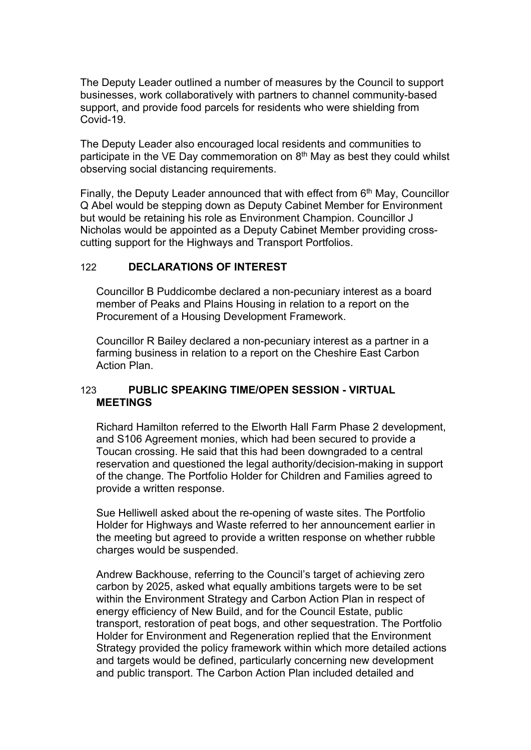The Deputy Leader outlined a number of measures by the Council to support businesses, work collaboratively with partners to channel community-based support, and provide food parcels for residents who were shielding from Covid-19.

The Deputy Leader also encouraged local residents and communities to participate in the VE Day commemoration on 8<sup>th</sup> May as best they could whilst observing social distancing requirements.

Finally, the Deputy Leader announced that with effect from 6<sup>th</sup> May, Councillor Q Abel would be stepping down as Deputy Cabinet Member for Environment but would be retaining his role as Environment Champion. Councillor J Nicholas would be appointed as a Deputy Cabinet Member providing crosscutting support for the Highways and Transport Portfolios.

# 122 **DECLARATIONS OF INTEREST**

Councillor B Puddicombe declared a non-pecuniary interest as a board member of Peaks and Plains Housing in relation to a report on the Procurement of a Housing Development Framework.

Councillor R Bailey declared a non-pecuniary interest as a partner in a farming business in relation to a report on the Cheshire East Carbon Action Plan.

## 123 **PUBLIC SPEAKING TIME/OPEN SESSION - VIRTUAL MEETINGS**

Richard Hamilton referred to the Elworth Hall Farm Phase 2 development, and S106 Agreement monies, which had been secured to provide a Toucan crossing. He said that this had been downgraded to a central reservation and questioned the legal authority/decision-making in support of the change. The Portfolio Holder for Children and Families agreed to provide a written response.

Sue Helliwell asked about the re-opening of waste sites. The Portfolio Holder for Highways and Waste referred to her announcement earlier in the meeting but agreed to provide a written response on whether rubble charges would be suspended.

Andrew Backhouse, referring to the Council's target of achieving zero carbon by 2025, asked what equally ambitions targets were to be set within the Environment Strategy and Carbon Action Plan in respect of energy efficiency of New Build, and for the Council Estate, public transport, restoration of peat bogs, and other sequestration. The Portfolio Holder for Environment and Regeneration replied that the Environment Strategy provided the policy framework within which more detailed actions and targets would be defined, particularly concerning new development and public transport. The Carbon Action Plan included detailed and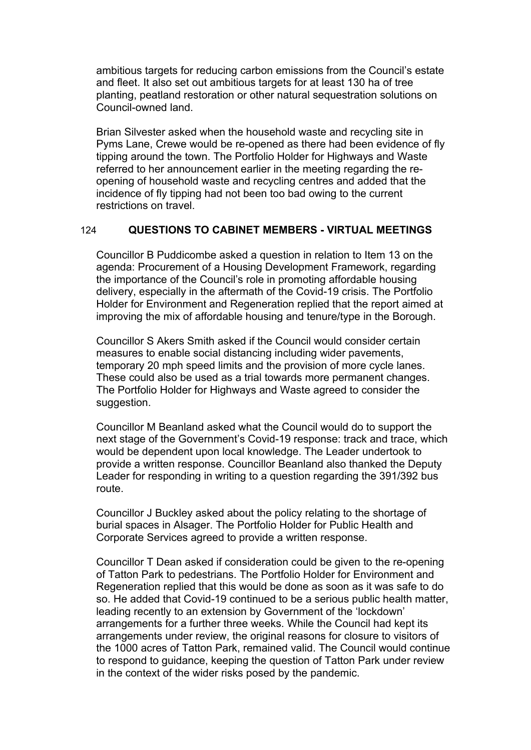ambitious targets for reducing carbon emissions from the Council's estate and fleet. It also set out ambitious targets for at least 130 ha of tree planting, peatland restoration or other natural sequestration solutions on Council-owned land.

Brian Silvester asked when the household waste and recycling site in Pyms Lane, Crewe would be re-opened as there had been evidence of fly tipping around the town. The Portfolio Holder for Highways and Waste referred to her announcement earlier in the meeting regarding the reopening of household waste and recycling centres and added that the incidence of fly tipping had not been too bad owing to the current restrictions on travel.

#### 124 **QUESTIONS TO CABINET MEMBERS - VIRTUAL MEETINGS**

Councillor B Puddicombe asked a question in relation to Item 13 on the agenda: Procurement of a Housing Development Framework, regarding the importance of the Council's role in promoting affordable housing delivery, especially in the aftermath of the Covid-19 crisis. The Portfolio Holder for Environment and Regeneration replied that the report aimed at improving the mix of affordable housing and tenure/type in the Borough.

Councillor S Akers Smith asked if the Council would consider certain measures to enable social distancing including wider pavements, temporary 20 mph speed limits and the provision of more cycle lanes. These could also be used as a trial towards more permanent changes. The Portfolio Holder for Highways and Waste agreed to consider the suggestion.

Councillor M Beanland asked what the Council would do to support the next stage of the Government's Covid-19 response: track and trace, which would be dependent upon local knowledge. The Leader undertook to provide a written response. Councillor Beanland also thanked the Deputy Leader for responding in writing to a question regarding the 391/392 bus route.

Councillor J Buckley asked about the policy relating to the shortage of burial spaces in Alsager. The Portfolio Holder for Public Health and Corporate Services agreed to provide a written response.

Councillor T Dean asked if consideration could be given to the re-opening of Tatton Park to pedestrians. The Portfolio Holder for Environment and Regeneration replied that this would be done as soon as it was safe to do so. He added that Covid-19 continued to be a serious public health matter, leading recently to an extension by Government of the 'lockdown' arrangements for a further three weeks. While the Council had kept its arrangements under review, the original reasons for closure to visitors of the 1000 acres of Tatton Park, remained valid. The Council would continue to respond to guidance, keeping the question of Tatton Park under review in the context of the wider risks posed by the pandemic.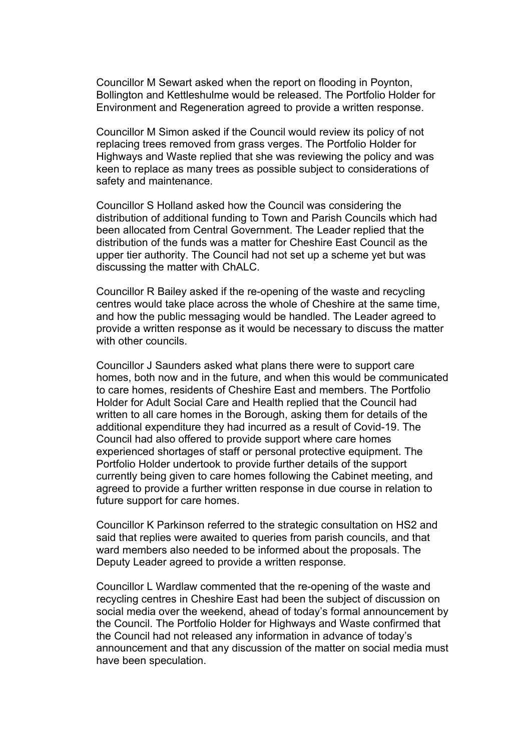Councillor M Sewart asked when the report on flooding in Poynton, Bollington and Kettleshulme would be released. The Portfolio Holder for Environment and Regeneration agreed to provide a written response.

Councillor M Simon asked if the Council would review its policy of not replacing trees removed from grass verges. The Portfolio Holder for Highways and Waste replied that she was reviewing the policy and was keen to replace as many trees as possible subject to considerations of safety and maintenance.

Councillor S Holland asked how the Council was considering the distribution of additional funding to Town and Parish Councils which had been allocated from Central Government. The Leader replied that the distribution of the funds was a matter for Cheshire East Council as the upper tier authority. The Council had not set up a scheme yet but was discussing the matter with ChALC.

Councillor R Bailey asked if the re-opening of the waste and recycling centres would take place across the whole of Cheshire at the same time, and how the public messaging would be handled. The Leader agreed to provide a written response as it would be necessary to discuss the matter with other councils.

Councillor J Saunders asked what plans there were to support care homes, both now and in the future, and when this would be communicated to care homes, residents of Cheshire East and members. The Portfolio Holder for Adult Social Care and Health replied that the Council had written to all care homes in the Borough, asking them for details of the additional expenditure they had incurred as a result of Covid-19. The Council had also offered to provide support where care homes experienced shortages of staff or personal protective equipment. The Portfolio Holder undertook to provide further details of the support currently being given to care homes following the Cabinet meeting, and agreed to provide a further written response in due course in relation to future support for care homes.

Councillor K Parkinson referred to the strategic consultation on HS2 and said that replies were awaited to queries from parish councils, and that ward members also needed to be informed about the proposals. The Deputy Leader agreed to provide a written response.

Councillor L Wardlaw commented that the re-opening of the waste and recycling centres in Cheshire East had been the subject of discussion on social media over the weekend, ahead of today's formal announcement by the Council. The Portfolio Holder for Highways and Waste confirmed that the Council had not released any information in advance of today's announcement and that any discussion of the matter on social media must have been speculation.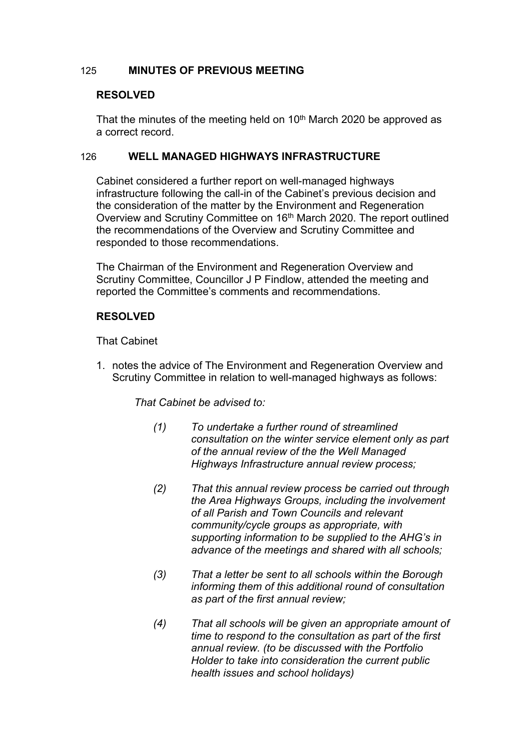#### 125 **MINUTES OF PREVIOUS MEETING**

#### **RESOLVED**

That the minutes of the meeting held on  $10<sup>th</sup>$  March 2020 be approved as a correct record.

#### 126 **WELL MANAGED HIGHWAYS INFRASTRUCTURE**

Cabinet considered a further report on well-managed highways infrastructure following the call-in of the Cabinet's previous decision and the consideration of the matter by the Environment and Regeneration Overview and Scrutiny Committee on 16<sup>th</sup> March 2020. The report outlined the recommendations of the Overview and Scrutiny Committee and responded to those recommendations.

The Chairman of the Environment and Regeneration Overview and Scrutiny Committee, Councillor J P Findlow, attended the meeting and reported the Committee's comments and recommendations.

## **RESOLVED**

That Cabinet

1. notes the advice of The Environment and Regeneration Overview and Scrutiny Committee in relation to well-managed highways as follows:

*That Cabinet be advised to:*

- *(1) To undertake a further round of streamlined consultation on the winter service element only as part of the annual review of the the Well Managed Highways Infrastructure annual review process;*
- *(2) That this annual review process be carried out through the Area Highways Groups, including the involvement of all Parish and Town Councils and relevant community/cycle groups as appropriate, with supporting information to be supplied to the AHG's in advance of the meetings and shared with all schools;*
- *(3) That a letter be sent to all schools within the Borough informing them of this additional round of consultation as part of the first annual review;*
- *(4) That all schools will be given an appropriate amount of time to respond to the consultation as part of the first annual review. (to be discussed with the Portfolio Holder to take into consideration the current public health issues and school holidays)*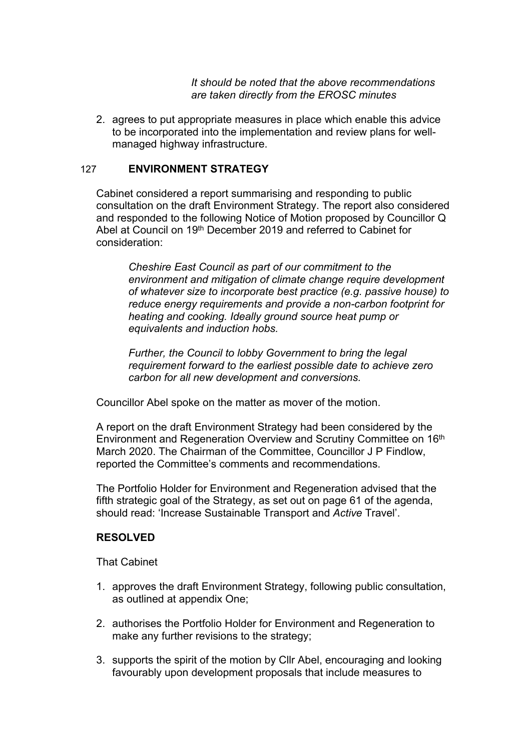*It should be noted that the above recommendations are taken directly from the EROSC minutes*

2. agrees to put appropriate measures in place which enable this advice to be incorporated into the implementation and review plans for wellmanaged highway infrastructure.

#### 127 **ENVIRONMENT STRATEGY**

Cabinet considered a report summarising and responding to public consultation on the draft Environment Strategy. The report also considered and responded to the following Notice of Motion proposed by Councillor Q Abel at Council on 19th December 2019 and referred to Cabinet for consideration:

*Cheshire East Council as part of our commitment to the environment and mitigation of climate change require development of whatever size to incorporate best practice (e.g. passive house) to reduce energy requirements and provide a non-carbon footprint for heating and cooking. Ideally ground source heat pump or equivalents and induction hobs.*

*Further, the Council to lobby Government to bring the legal requirement forward to the earliest possible date to achieve zero carbon for all new development and conversions.*

Councillor Abel spoke on the matter as mover of the motion.

A report on the draft Environment Strategy had been considered by the Environment and Regeneration Overview and Scrutiny Committee on 16th March 2020. The Chairman of the Committee, Councillor J P Findlow, reported the Committee's comments and recommendations.

The Portfolio Holder for Environment and Regeneration advised that the fifth strategic goal of the Strategy, as set out on page 61 of the agenda, should read: 'Increase Sustainable Transport and *Active* Travel'.

## **RESOLVED**

- 1. approves the draft Environment Strategy, following public consultation, as outlined at appendix One;
- 2. authorises the Portfolio Holder for Environment and Regeneration to make any further revisions to the strategy;
- 3. supports the spirit of the motion by Cllr Abel, encouraging and looking favourably upon development proposals that include measures to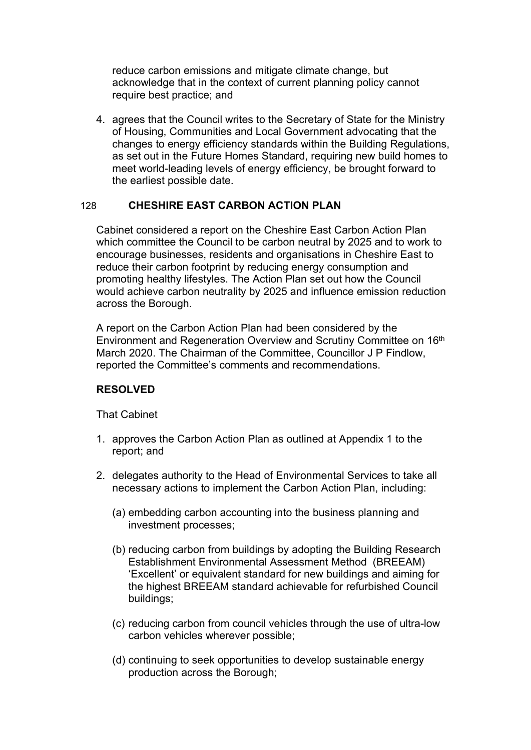reduce carbon emissions and mitigate climate change, but acknowledge that in the context of current planning policy cannot require best practice; and

4. agrees that the Council writes to the Secretary of State for the Ministry of Housing, Communities and Local Government advocating that the changes to energy efficiency standards within the Building Regulations, as set out in the Future Homes Standard, requiring new build homes to meet world-leading levels of energy efficiency, be brought forward to the earliest possible date.

## 128 **CHESHIRE EAST CARBON ACTION PLAN**

Cabinet considered a report on the Cheshire East Carbon Action Plan which committee the Council to be carbon neutral by 2025 and to work to encourage businesses, residents and organisations in Cheshire East to reduce their carbon footprint by reducing energy consumption and promoting healthy lifestyles. The Action Plan set out how the Council would achieve carbon neutrality by 2025 and influence emission reduction across the Borough.

A report on the Carbon Action Plan had been considered by the Environment and Regeneration Overview and Scrutiny Committee on 16th March 2020. The Chairman of the Committee, Councillor J P Findlow, reported the Committee's comments and recommendations.

# **RESOLVED**

- 1. approves the Carbon Action Plan as outlined at Appendix 1 to the report; and
- 2. delegates authority to the Head of Environmental Services to take all necessary actions to implement the Carbon Action Plan, including:
	- (a) embedding carbon accounting into the business planning and investment processes;
	- (b) reducing carbon from buildings by adopting the Building Research Establishment Environmental Assessment Method (BREEAM) 'Excellent' or equivalent standard for new buildings and aiming for the highest BREEAM standard achievable for refurbished Council buildings;
	- (c) reducing carbon from council vehicles through the use of ultra-low carbon vehicles wherever possible;
	- (d) continuing to seek opportunities to develop sustainable energy production across the Borough;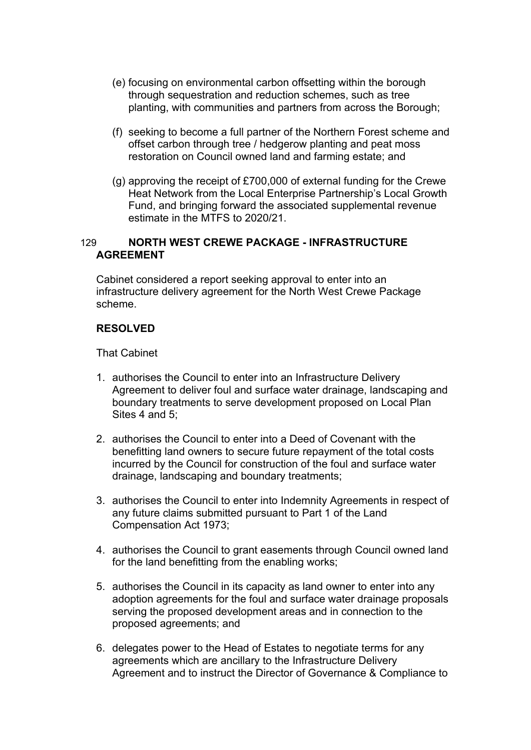- (e) focusing on environmental carbon offsetting within the borough through sequestration and reduction schemes, such as tree planting, with communities and partners from across the Borough;
- (f) seeking to become a full partner of the Northern Forest scheme and offset carbon through tree / hedgerow planting and peat moss restoration on Council owned land and farming estate; and
- (g) approving the receipt of £700,000 of external funding for the Crewe Heat Network from the Local Enterprise Partnership's Local Growth Fund, and bringing forward the associated supplemental revenue estimate in the MTFS to 2020/21.

## 129 **NORTH WEST CREWE PACKAGE - INFRASTRUCTURE AGREEMENT**

Cabinet considered a report seeking approval to enter into an infrastructure delivery agreement for the North West Crewe Package scheme.

#### **RESOLVED**

- 1. authorises the Council to enter into an Infrastructure Delivery Agreement to deliver foul and surface water drainage, landscaping and boundary treatments to serve development proposed on Local Plan Sites 4 and 5:
- 2. authorises the Council to enter into a Deed of Covenant with the benefitting land owners to secure future repayment of the total costs incurred by the Council for construction of the foul and surface water drainage, landscaping and boundary treatments;
- 3. authorises the Council to enter into Indemnity Agreements in respect of any future claims submitted pursuant to Part 1 of the Land Compensation Act 1973;
- 4. authorises the Council to grant easements through Council owned land for the land benefitting from the enabling works;
- 5. authorises the Council in its capacity as land owner to enter into any adoption agreements for the foul and surface water drainage proposals serving the proposed development areas and in connection to the proposed agreements; and
- 6. delegates power to the Head of Estates to negotiate terms for any agreements which are ancillary to the Infrastructure Delivery Agreement and to instruct the Director of Governance & Compliance to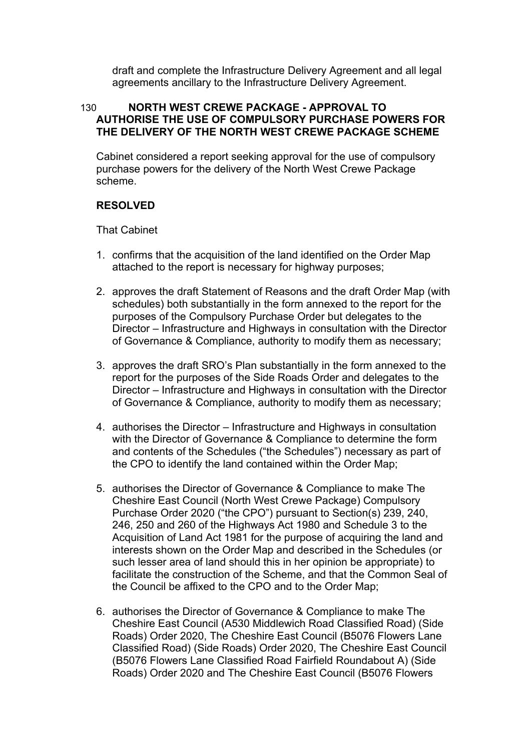draft and complete the Infrastructure Delivery Agreement and all legal agreements ancillary to the Infrastructure Delivery Agreement.

## 130 **NORTH WEST CREWE PACKAGE - APPROVAL TO AUTHORISE THE USE OF COMPULSORY PURCHASE POWERS FOR THE DELIVERY OF THE NORTH WEST CREWE PACKAGE SCHEME**

Cabinet considered a report seeking approval for the use of compulsory purchase powers for the delivery of the North West Crewe Package scheme.

# **RESOLVED**

- 1. confirms that the acquisition of the land identified on the Order Map attached to the report is necessary for highway purposes;
- 2. approves the draft Statement of Reasons and the draft Order Map (with schedules) both substantially in the form annexed to the report for the purposes of the Compulsory Purchase Order but delegates to the Director – Infrastructure and Highways in consultation with the Director of Governance & Compliance, authority to modify them as necessary;
- 3. approves the draft SRO's Plan substantially in the form annexed to the report for the purposes of the Side Roads Order and delegates to the Director – Infrastructure and Highways in consultation with the Director of Governance & Compliance, authority to modify them as necessary;
- 4. authorises the Director Infrastructure and Highways in consultation with the Director of Governance & Compliance to determine the form and contents of the Schedules ("the Schedules") necessary as part of the CPO to identify the land contained within the Order Map;
- 5. authorises the Director of Governance & Compliance to make The Cheshire East Council (North West Crewe Package) Compulsory Purchase Order 2020 ("the CPO") pursuant to Section(s) 239, 240, 246, 250 and 260 of the Highways Act 1980 and Schedule 3 to the Acquisition of Land Act 1981 for the purpose of acquiring the land and interests shown on the Order Map and described in the Schedules (or such lesser area of land should this in her opinion be appropriate) to facilitate the construction of the Scheme, and that the Common Seal of the Council be affixed to the CPO and to the Order Map;
- 6. authorises the Director of Governance & Compliance to make The Cheshire East Council (A530 Middlewich Road Classified Road) (Side Roads) Order 2020, The Cheshire East Council (B5076 Flowers Lane Classified Road) (Side Roads) Order 2020, The Cheshire East Council (B5076 Flowers Lane Classified Road Fairfield Roundabout A) (Side Roads) Order 2020 and The Cheshire East Council (B5076 Flowers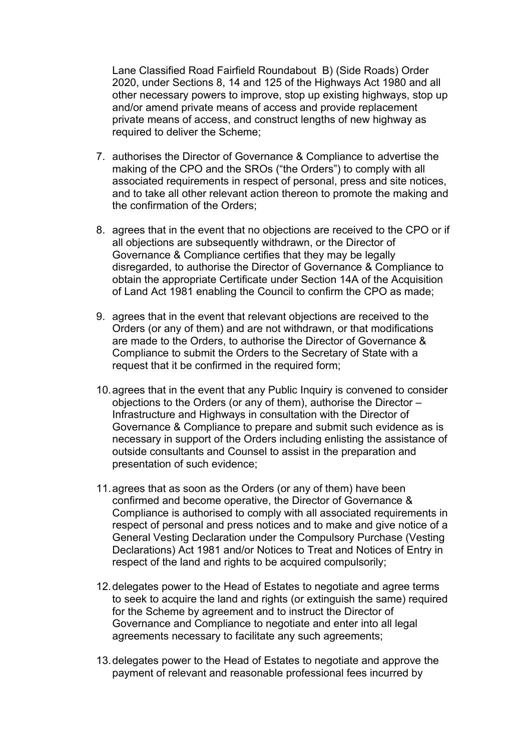Lane Classified Road Fairfield Roundabout B) (Side Roads) Order 2020, under Sections 8, 14 and 125 of the Highways Act 1980 and all other necessary powers to improve, stop up existing highways, stop up and/or amend private means of access and provide replacement private means of access, and construct lengths of new highway as required to deliver the Scheme;

- 7. authorises the Director of Governance & Compliance to advertise the making of the CPO and the SROs ("the Orders") to comply with all associated requirements in respect of personal, press and site notices, and to take all other relevant action thereon to promote the making and the confirmation of the Orders;
- 8. agrees that in the event that no objections are received to the CPO or if all objections are subsequently withdrawn, or the Director of Governance & Compliance certifies that they may be legally disregarded, to authorise the Director of Governance & Compliance to obtain the appropriate Certificate under Section 14A of the Acquisition of Land Act 1981 enabling the Council to confirm the CPO as made;
- 9. agrees that in the event that relevant objections are received to the Orders (or any of them) and are not withdrawn, or that modifications are made to the Orders, to authorise the Director of Governance & Compliance to submit the Orders to the Secretary of State with a request that it be confirmed in the required form;
- 10.agrees that in the event that any Public Inquiry is convened to consider objections to the Orders (or any of them), authorise the Director – Infrastructure and Highways in consultation with the Director of Governance & Compliance to prepare and submit such evidence as is necessary in support of the Orders including enlisting the assistance of outside consultants and Counsel to assist in the preparation and presentation of such evidence;
- 11.agrees that as soon as the Orders (or any of them) have been confirmed and become operative, the Director of Governance & Compliance is authorised to comply with all associated requirements in respect of personal and press notices and to make and give notice of a General Vesting Declaration under the Compulsory Purchase (Vesting Declarations) Act 1981 and/or Notices to Treat and Notices of Entry in respect of the land and rights to be acquired compulsorily:
- 12.delegates power to the Head of Estates to negotiate and agree terms to seek to acquire the land and rights (or extinguish the same) required for the Scheme by agreement and to instruct the Director of Governance and Compliance to negotiate and enter into all legal agreements necessary to facilitate any such agreements;
- 13.delegates power to the Head of Estates to negotiate and approve the payment of relevant and reasonable professional fees incurred by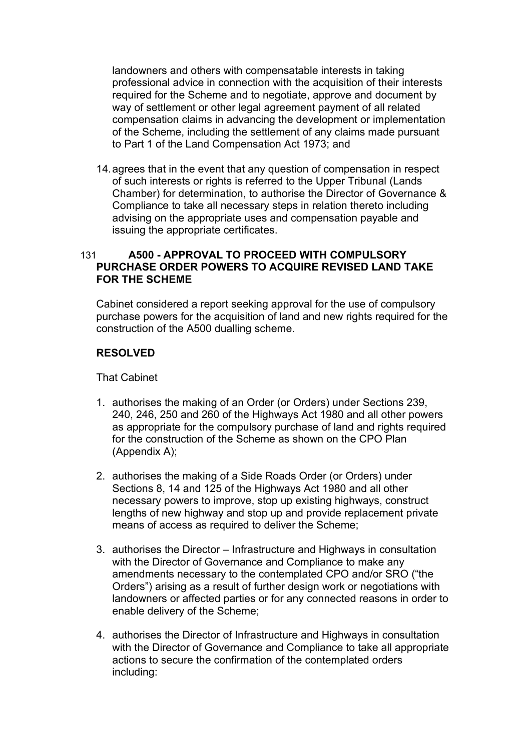landowners and others with compensatable interests in taking professional advice in connection with the acquisition of their interests required for the Scheme and to negotiate, approve and document by way of settlement or other legal agreement payment of all related compensation claims in advancing the development or implementation of the Scheme, including the settlement of any claims made pursuant to Part 1 of the Land Compensation Act 1973; and

14.agrees that in the event that any question of compensation in respect of such interests or rights is referred to the Upper Tribunal (Lands Chamber) for determination, to authorise the Director of Governance & Compliance to take all necessary steps in relation thereto including advising on the appropriate uses and compensation payable and issuing the appropriate certificates.

# 131 **A500 - APPROVAL TO PROCEED WITH COMPULSORY PURCHASE ORDER POWERS TO ACQUIRE REVISED LAND TAKE FOR THE SCHEME**

Cabinet considered a report seeking approval for the use of compulsory purchase powers for the acquisition of land and new rights required for the construction of the A500 dualling scheme.

## **RESOLVED**

- 1. authorises the making of an Order (or Orders) under Sections 239, 240, 246, 250 and 260 of the Highways Act 1980 and all other powers as appropriate for the compulsory purchase of land and rights required for the construction of the Scheme as shown on the CPO Plan (Appendix A);
- 2. authorises the making of a Side Roads Order (or Orders) under Sections 8, 14 and 125 of the Highways Act 1980 and all other necessary powers to improve, stop up existing highways, construct lengths of new highway and stop up and provide replacement private means of access as required to deliver the Scheme;
- 3. authorises the Director Infrastructure and Highways in consultation with the Director of Governance and Compliance to make any amendments necessary to the contemplated CPO and/or SRO ("the Orders") arising as a result of further design work or negotiations with landowners or affected parties or for any connected reasons in order to enable delivery of the Scheme;
- 4. authorises the Director of Infrastructure and Highways in consultation with the Director of Governance and Compliance to take all appropriate actions to secure the confirmation of the contemplated orders including: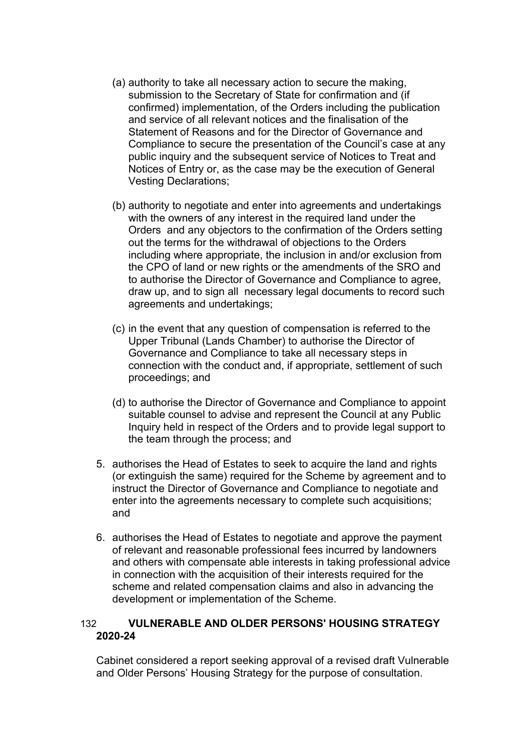- (a) authority to take all necessary action to secure the making, submission to the Secretary of State for confirmation and (if confirmed) implementation, of the Orders including the publication and service of all relevant notices and the finalisation of the Statement of Reasons and for the Director of Governance and Compliance to secure the presentation of the Council's case at any public inquiry and the subsequent service of Notices to Treat and Notices of Entry or, as the case may be the execution of General Vesting Declarations;
- (b) authority to negotiate and enter into agreements and undertakings with the owners of any interest in the required land under the Orders and any objectors to the confirmation of the Orders setting out the terms for the withdrawal of objections to the Orders including where appropriate, the inclusion in and/or exclusion from the CPO of land or new rights or the amendments of the SRO and to authorise the Director of Governance and Compliance to agree, draw up, and to sign all necessary legal documents to record such agreements and undertakings;
- (c) in the event that any question of compensation is referred to the Upper Tribunal (Lands Chamber) to authorise the Director of Governance and Compliance to take all necessary steps in connection with the conduct and, if appropriate, settlement of such proceedings; and
- (d) to authorise the Director of Governance and Compliance to appoint suitable counsel to advise and represent the Council at any Public Inquiry held in respect of the Orders and to provide legal support to the team through the process; and
- 5. authorises the Head of Estates to seek to acquire the land and rights (or extinguish the same) required for the Scheme by agreement and to instruct the Director of Governance and Compliance to negotiate and enter into the agreements necessary to complete such acquisitions; and
- 6. authorises the Head of Estates to negotiate and approve the payment of relevant and reasonable professional fees incurred by landowners and others with compensate able interests in taking professional advice in connection with the acquisition of their interests required for the scheme and related compensation claims and also in advancing the development or implementation of the Scheme.

## 132 **VULNERABLE AND OLDER PERSONS' HOUSING STRATEGY 2020-24**

Cabinet considered a report seeking approval of a revised draft Vulnerable and Older Persons' Housing Strategy for the purpose of consultation.